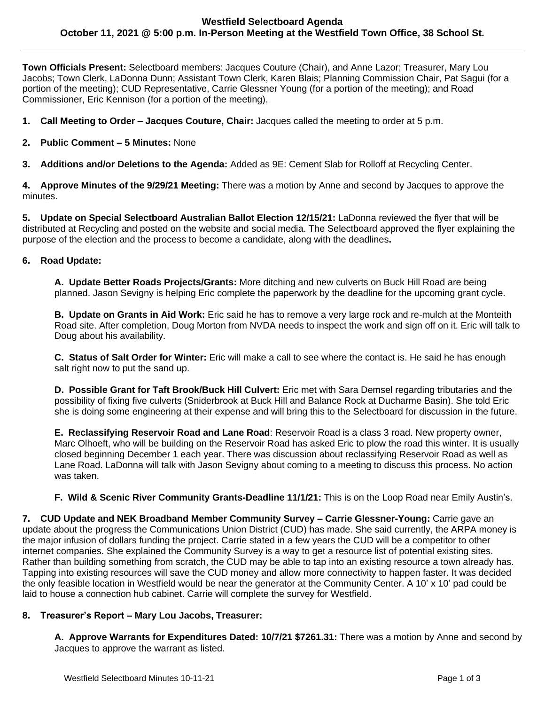**Town Officials Present:** Selectboard members: Jacques Couture (Chair), and Anne Lazor; Treasurer, Mary Lou Jacobs; Town Clerk, LaDonna Dunn; Assistant Town Clerk, Karen Blais; Planning Commission Chair, Pat Sagui (for a portion of the meeting); CUD Representative, Carrie Glessner Young (for a portion of the meeting); and Road Commissioner, Eric Kennison (for a portion of the meeting).

- **1. Call Meeting to Order – Jacques Couture, Chair:** Jacques called the meeting to order at 5 p.m.
- **2. Public Comment – 5 Minutes:** None
- **3. Additions and/or Deletions to the Agenda:** Added as 9E: Cement Slab for Rolloff at Recycling Center.

**4. Approve Minutes of the 9/29/21 Meeting:** There was a motion by Anne and second by Jacques to approve the minutes.

**5. Update on Special Selectboard Australian Ballot Election 12/15/21:** LaDonna reviewed the flyer that will be distributed at Recycling and posted on the website and social media. The Selectboard approved the flyer explaining the purpose of the election and the process to become a candidate, along with the deadlines**.** 

### **6. Road Update:**

**A. Update Better Roads Projects/Grants:** More ditching and new culverts on Buck Hill Road are being planned. Jason Sevigny is helping Eric complete the paperwork by the deadline for the upcoming grant cycle.

**B. Update on Grants in Aid Work:** Eric said he has to remove a very large rock and re-mulch at the Monteith Road site. After completion, Doug Morton from NVDA needs to inspect the work and sign off on it. Eric will talk to Doug about his availability.

**C. Status of Salt Order for Winter:** Eric will make a call to see where the contact is. He said he has enough salt right now to put the sand up.

**D. Possible Grant for Taft Brook/Buck Hill Culvert:** Eric met with Sara Demsel regarding tributaries and the possibility of fixing five culverts (Sniderbrook at Buck Hill and Balance Rock at Ducharme Basin). She told Eric she is doing some engineering at their expense and will bring this to the Selectboard for discussion in the future.

**E. Reclassifying Reservoir Road and Lane Road**: Reservoir Road is a class 3 road. New property owner, Marc Olhoeft, who will be building on the Reservoir Road has asked Eric to plow the road this winter. It is usually closed beginning December 1 each year. There was discussion about reclassifying Reservoir Road as well as Lane Road. LaDonna will talk with Jason Sevigny about coming to a meeting to discuss this process. No action was taken.

**F. Wild & Scenic River Community Grants-Deadline 11/1/21:** This is on the Loop Road near Emily Austin's.

**7. CUD Update and NEK Broadband Member Community Survey – Carrie Glessner-Young:** Carrie gave an update about the progress the Communications Union District (CUD) has made. She said currently, the ARPA money is the major infusion of dollars funding the project. Carrie stated in a few years the CUD will be a competitor to other internet companies. She explained the Community Survey is a way to get a resource list of potential existing sites. Rather than building something from scratch, the CUD may be able to tap into an existing resource a town already has. Tapping into existing resources will save the CUD money and allow more connectivity to happen faster. It was decided the only feasible location in Westfield would be near the generator at the Community Center. A 10' x 10' pad could be laid to house a connection hub cabinet. Carrie will complete the survey for Westfield.

### **8. Treasurer's Report – Mary Lou Jacobs, Treasurer:**

**A. Approve Warrants for Expenditures Dated: 10/7/21 \$7261.31:** There was a motion by Anne and second by Jacques to approve the warrant as listed.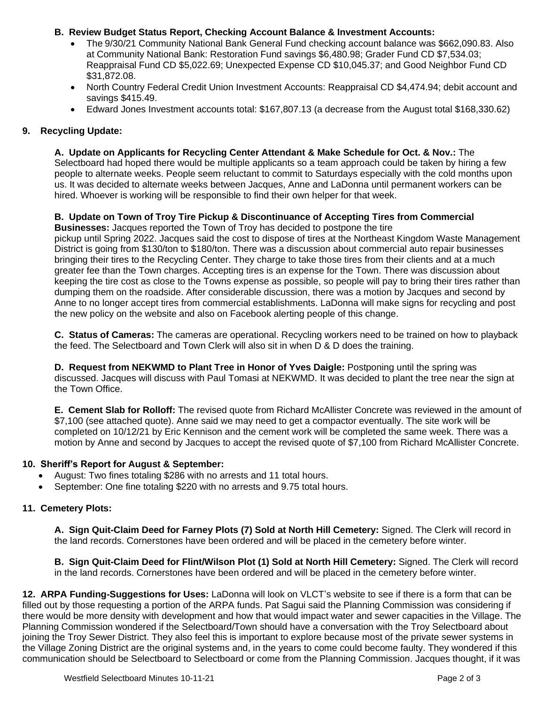# **B. Review Budget Status Report, Checking Account Balance & Investment Accounts:**

- The 9/30/21 Community National Bank General Fund checking account balance was \$662,090.83. Also at Community National Bank: Restoration Fund savings \$6,480.98; Grader Fund CD \$7,534.03; Reappraisal Fund CD \$5,022.69; Unexpected Expense CD \$10,045.37; and Good Neighbor Fund CD \$31,872.08.
- North Country Federal Credit Union Investment Accounts: Reappraisal CD \$4,474.94; debit account and savings \$415.49.
- Edward Jones Investment accounts total: \$167,807.13 (a decrease from the August total \$168,330.62)

# **9. Recycling Update:**

**A. Update on Applicants for Recycling Center Attendant & Make Schedule for Oct. & Nov.:** The Selectboard had hoped there would be multiple applicants so a team approach could be taken by hiring a few people to alternate weeks. People seem reluctant to commit to Saturdays especially with the cold months upon us. It was decided to alternate weeks between Jacques, Anne and LaDonna until permanent workers can be hired. Whoever is working will be responsible to find their own helper for that week.

## **B. Update on Town of Troy Tire Pickup & Discontinuance of Accepting Tires from Commercial**

**Businesses:** Jacques reported the Town of Troy has decided to postpone the tire pickup until Spring 2022. Jacques said the cost to dispose of tires at the Northeast Kingdom Waste Management District is going from \$130/ton to \$180/ton. There was a discussion about commercial auto repair businesses bringing their tires to the Recycling Center. They charge to take those tires from their clients and at a much greater fee than the Town charges. Accepting tires is an expense for the Town. There was discussion about keeping the tire cost as close to the Towns expense as possible, so people will pay to bring their tires rather than dumping them on the roadside. After considerable discussion, there was a motion by Jacques and second by Anne to no longer accept tires from commercial establishments. LaDonna will make signs for recycling and post the new policy on the website and also on Facebook alerting people of this change.

**C. Status of Cameras:** The cameras are operational. Recycling workers need to be trained on how to playback the feed. The Selectboard and Town Clerk will also sit in when D & D does the training.

**D. Request from NEKWMD to Plant Tree in Honor of Yves Daigle:** Postponing until the spring was discussed. Jacques will discuss with Paul Tomasi at NEKWMD. It was decided to plant the tree near the sign at the Town Office.

**E. Cement Slab for Rolloff:** The revised quote from Richard McAllister Concrete was reviewed in the amount of \$7,100 (see attached quote). Anne said we may need to get a compactor eventually. The site work will be completed on 10/12/21 by Eric Kennison and the cement work will be completed the same week. There was a motion by Anne and second by Jacques to accept the revised quote of \$7,100 from Richard McAllister Concrete.

### **10. Sheriff's Report for August & September:**

- August: Two fines totaling \$286 with no arrests and 11 total hours.
- September: One fine totaling \$220 with no arrests and 9.75 total hours.

### **11. Cemetery Plots:**

**A. Sign Quit-Claim Deed for Farney Plots (7) Sold at North Hill Cemetery:** Signed. The Clerk will record in the land records. Cornerstones have been ordered and will be placed in the cemetery before winter.

**B. Sign Quit-Claim Deed for Flint/Wilson Plot (1) Sold at North Hill Cemetery:** Signed. The Clerk will record in the land records. Cornerstones have been ordered and will be placed in the cemetery before winter.

**12. ARPA Funding-Suggestions for Uses:** LaDonna will look on VLCT's website to see if there is a form that can be filled out by those requesting a portion of the ARPA funds. Pat Sagui said the Planning Commission was considering if there would be more density with development and how that would impact water and sewer capacities in the Village. The Planning Commission wondered if the Selectboard/Town should have a conversation with the Troy Selectboard about joining the Troy Sewer District. They also feel this is important to explore because most of the private sewer systems in the Village Zoning District are the original systems and, in the years to come could become faulty. They wondered if this communication should be Selectboard to Selectboard or come from the Planning Commission. Jacques thought, if it was